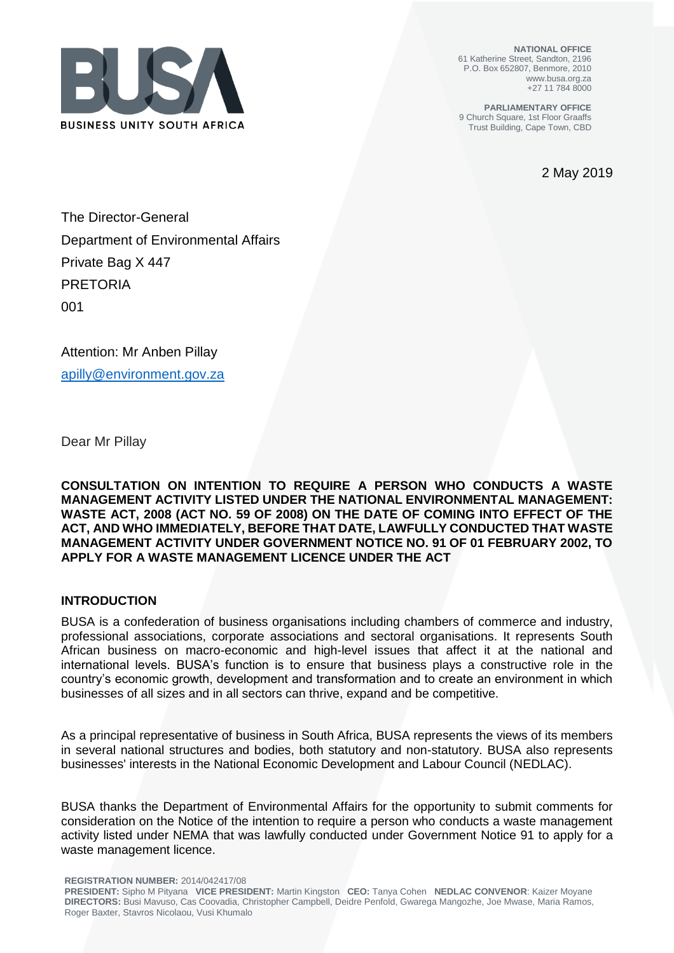

**NATIONAL OFFICE** 61 Katherine Street, Sandton, 2196 P.O. Box 652807, Benmore, 2010 www.busa.org.za +27 11 784 8000

**PARLIAMENTARY OFFICE** 9 Church Square, 1st Floor Graaffs Trust Building, Cape Town, CBD

2 May 2019

The Director-General Department of Environmental Affairs Private Bag X 447 PRETORIA 001

Attention: Mr Anben Pillay [apilly@environment.gov.za](mailto:apilly@environment.gov.za)

Dear Mr Pillay

**CONSULTATION ON INTENTION TO REQUIRE A PERSON WHO CONDUCTS A WASTE MANAGEMENT ACTIVITY LISTED UNDER THE NATIONAL ENVIRONMENTAL MANAGEMENT: WASTE ACT, 2008 (ACT NO. 59 OF 2008) ON THE DATE OF COMING INTO EFFECT OF THE ACT, AND WHO IMMEDIATELY, BEFORE THAT DATE, LAWFULLY CONDUCTED THAT WASTE MANAGEMENT ACTIVITY UNDER GOVERNMENT NOTICE NO. 91 OF 01 FEBRUARY 2002, TO APPLY FOR A WASTE MANAGEMENT LICENCE UNDER THE ACT**

## **INTRODUCTION**

BUSA is a confederation of business organisations including chambers of commerce and industry, professional associations, corporate associations and sectoral organisations. It represents South African business on macro-economic and high-level issues that affect it at the national and international levels. BUSA's function is to ensure that business plays a constructive role in the country's economic growth, development and transformation and to create an environment in which businesses of all sizes and in all sectors can thrive, expand and be competitive.

As a principal representative of business in South Africa, BUSA represents the views of its members in several national structures and bodies, both statutory and non-statutory. BUSA also represents businesses' interests in the National Economic Development and Labour Council (NEDLAC).

BUSA thanks the Department of Environmental Affairs for the opportunity to submit comments for consideration on the Notice of the intention to require a person who conducts a waste management activity listed under NEMA that was lawfully conducted under Government Notice 91 to apply for a waste management licence.

**REGISTRATION NUMBER:** 2014/042417/08

**PRESIDENT:** Sipho M Pityana **VICE PRESIDENT:** Martin Kingston **CEO:** Tanya Cohen **NEDLAC CONVENOR**: Kaizer Moyane **DIRECTORS:** Busi Mavuso, Cas Coovadia, Christopher Campbell, Deidre Penfold, Gwarega Mangozhe, Joe Mwase, Maria Ramos, Roger Baxter, Stavros Nicolaou, Vusi Khumalo